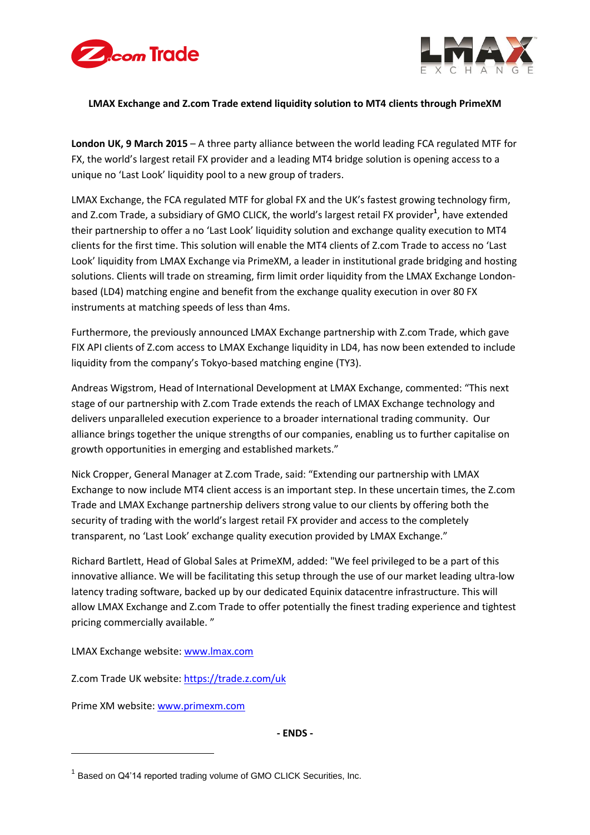



# **LMAX Exchange and Z.com Trade extend liquidity solution to MT4 clients through PrimeXM**

**London UK, 9 March 2015** – A three party alliance between the world leading FCA regulated MTF for FX, the world's largest retail FX provider and a leading MT4 bridge solution is opening access to a unique no 'Last Look' liquidity pool to a new group of traders.

LMAX Exchange, the FCA regulated MTF for global FX and the UK's fastest growing technology firm, and Z.com Trade, a subsidiary of GMO CLICK, the world's largest retail FX provider<sup>1</sup>, have extended their partnership to offer a no 'Last Look' liquidity solution and exchange quality execution to MT4 clients for the first time. This solution will enable the MT4 clients of Z.com Trade to access no 'Last Look' liquidity from LMAX Exchange via PrimeXM, a leader in institutional grade bridging and hosting solutions. Clients will trade on streaming, firm limit order liquidity from the LMAX Exchange Londonbased (LD4) matching engine and benefit from the exchange quality execution in over 80 FX instruments at matching speeds of less than 4ms.

Furthermore, the previously announced LMAX Exchange partnership with Z.com Trade, which gave FIX API clients of Z.com access to LMAX Exchange liquidity in LD4, has now been extended to include liquidity from the company's Tokyo-based matching engine (TY3).

Andreas Wigstrom, Head of International Development at LMAX Exchange, commented: "This next stage of our partnership with Z.com Trade extends the reach of LMAX Exchange technology and delivers unparalleled execution experience to a broader international trading community. Our alliance brings together the unique strengths of our companies, enabling us to further capitalise on growth opportunities in emerging and established markets."

Nick Cropper, General Manager at Z.com Trade, said: "Extending our partnership with LMAX Exchange to now include MT4 client access is an important step. In these uncertain times, the Z.com Trade and LMAX Exchange partnership delivers strong value to our clients by offering both the security of trading with the world's largest retail FX provider and access to the completely transparent, no 'Last Look' exchange quality execution provided by LMAX Exchange."

Richard Bartlett, Head of Global Sales at PrimeXM, added: "We feel privileged to be a part of this innovative alliance. We will be facilitating this setup through the use of our market leading ultra-low latency trading software, backed up by our dedicated Equinix datacentre infrastructure. This will allow LMAX Exchange and Z.com Trade to offer potentially the finest trading experience and tightest pricing commercially available. "

LMAX Exchange website: [www.lmax.com](http://www.lmax.com/)

Z.com Trade UK website: https:/[/trade.z.com/uk](https://trade.z.com/uk)

Prime XM website: [www.primexm.com](http://www.primexm.com/)

-

**- ENDS -**

 $1$  Based on Q4'14 reported trading volume of GMO CLICK Securities, Inc.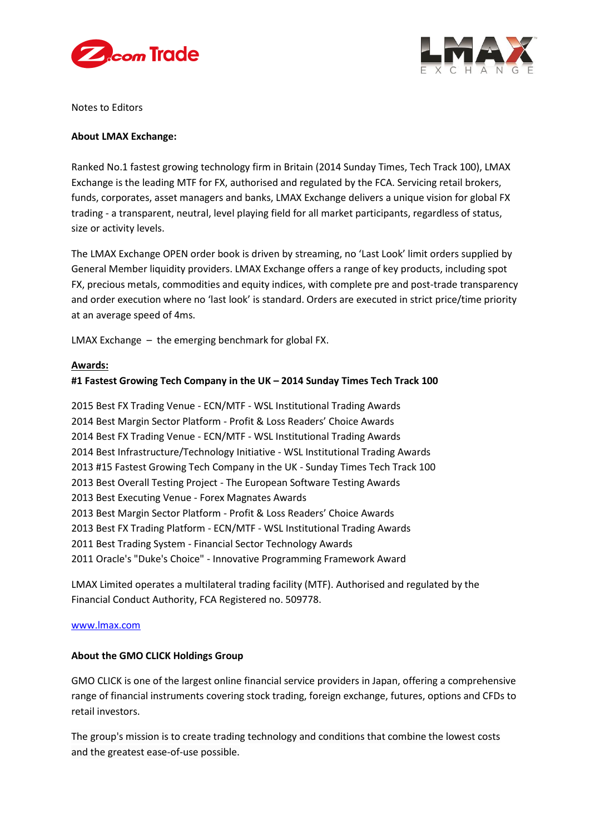



Notes to Editors

## **About LMAX Exchange:**

Ranked No.1 fastest growing technology firm in Britain (2014 Sunday Times, Tech Track 100), LMAX Exchange is the leading MTF for FX, authorised and regulated by the FCA. Servicing retail brokers, funds, corporates, asset managers and banks, LMAX Exchange delivers a unique vision for global FX trading - a transparent, neutral, level playing field for all market participants, regardless of status, size or activity levels.

The LMAX Exchange OPEN order book is driven by streaming, no 'Last Look' limit orders supplied by General Member liquidity providers. LMAX Exchange offers a range of key products, including spot FX, precious metals, commodities and equity indices, with complete pre and post-trade transparency and order execution where no 'last look' is standard. Orders are executed in strict price/time priority at an average speed of 4ms.

LMAX Exchange – the emerging benchmark for global FX.

## **Awards:**

# **#1 Fastest Growing Tech Company in the UK – 2014 Sunday Times Tech Track 100**

2015 Best FX Trading Venue - ECN/MTF - WSL Institutional Trading Awards 2014 Best Margin Sector Platform - Profit & Loss Readers' Choice Awards 2014 Best FX Trading Venue - ECN/MTF - WSL Institutional Trading Awards 2014 Best Infrastructure/Technology Initiative - WSL Institutional Trading Awards 2013 #15 Fastest Growing Tech Company in the UK - Sunday Times Tech Track 100 2013 Best Overall Testing Project - The European Software Testing Awards 2013 Best Executing Venue - Forex Magnates Awards 2013 Best Margin Sector Platform - Profit & Loss Readers' Choice Awards 2013 Best FX Trading Platform - ECN/MTF - WSL Institutional Trading Awards 2011 Best Trading System - Financial Sector Technology Awards 2011 Oracle's "Duke's Choice" - Innovative Programming Framework Award

LMAX Limited operates a multilateral trading facility (MTF). Authorised and regulated by the Financial Conduct Authority, FCA Registered no. 509778.

#### [www.lmax.com](http://www.lmax.com/)

## **About the GMO CLICK Holdings Group**

GMO CLICK is one of the largest online financial service providers in Japan, offering a comprehensive range of financial instruments covering stock trading, foreign exchange, futures, options and CFDs to retail investors.

The group's mission is to create trading technology and conditions that combine the lowest costs and the greatest ease-of-use possible.